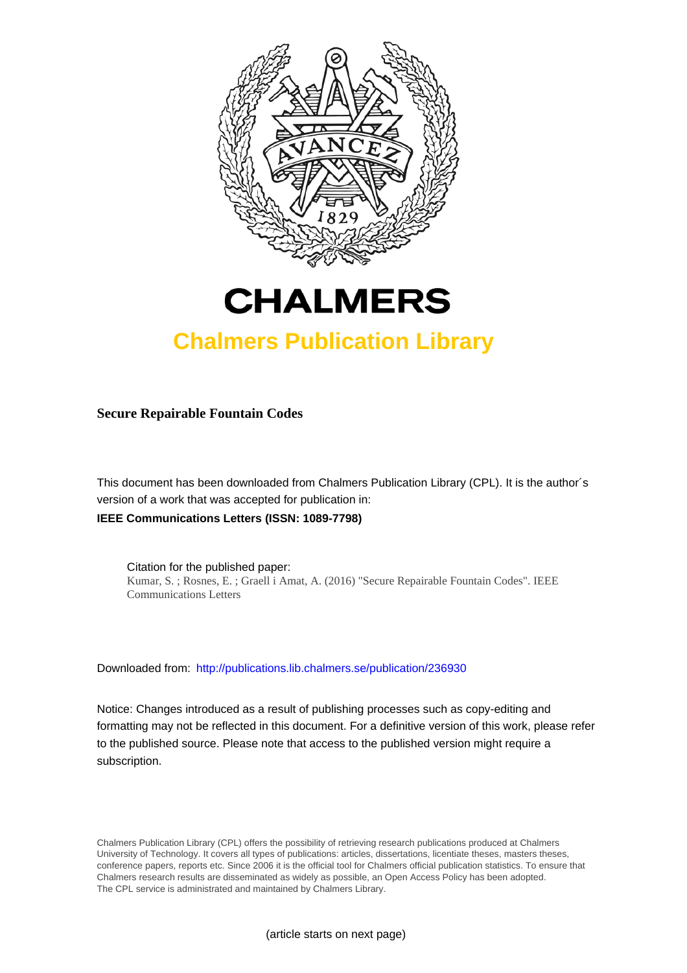



## **Chalmers Publication Library**

**Secure Repairable Fountain Codes**

This document has been downloaded from Chalmers Publication Library (CPL). It is the author´s version of a work that was accepted for publication in: **IEEE Communications Letters (ISSN: 1089-7798)**

Citation for the published paper: Kumar, S. ; Rosnes, E. ; Graell i Amat, A. (2016) "Secure Repairable Fountain Codes". IEEE Communications Letters

Downloaded from: <http://publications.lib.chalmers.se/publication/236930>

Notice: Changes introduced as a result of publishing processes such as copy-editing and formatting may not be reflected in this document. For a definitive version of this work, please refer to the published source. Please note that access to the published version might require a subscription.

Chalmers Publication Library (CPL) offers the possibility of retrieving research publications produced at Chalmers University of Technology. It covers all types of publications: articles, dissertations, licentiate theses, masters theses, conference papers, reports etc. Since 2006 it is the official tool for Chalmers official publication statistics. To ensure that Chalmers research results are disseminated as widely as possible, an Open Access Policy has been adopted. The CPL service is administrated and maintained by Chalmers Library.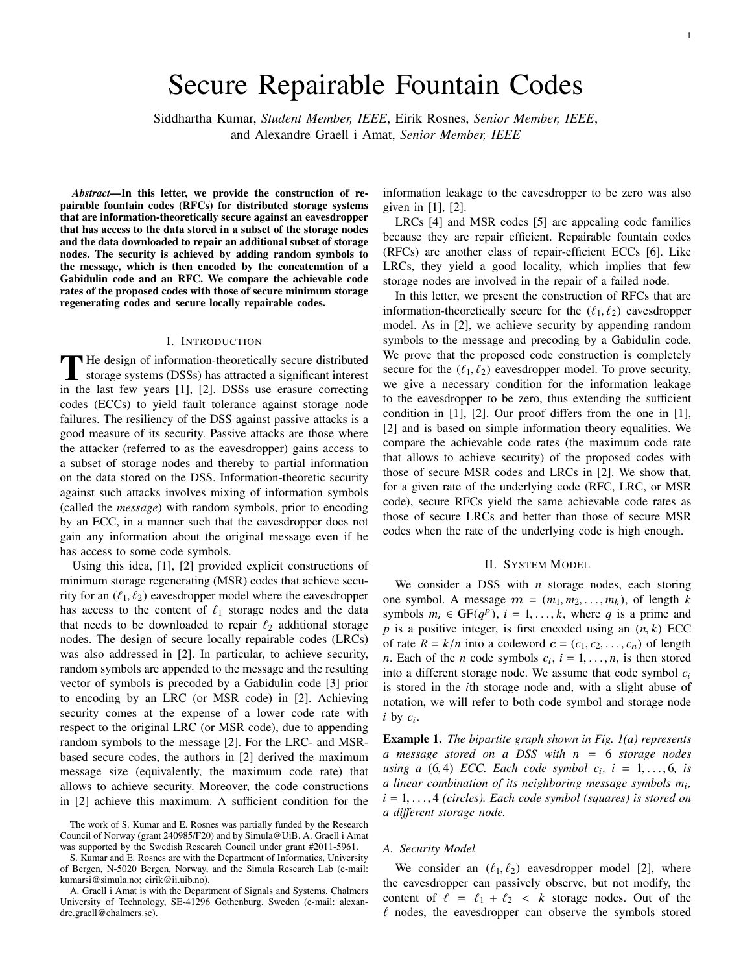# Secure Repairable Fountain Codes

Siddhartha Kumar, *Student Member, IEEE*, Eirik Rosnes, *Senior Member, IEEE*, and Alexandre Graell i Amat, *Senior Member, IEEE*

*Abstract*—In this letter, we provide the construction of repairable fountain codes (RFCs) for distributed storage systems that are information-theoretically secure against an eavesdropper that has access to the data stored in a subset of the storage nodes and the data downloaded to repair an additional subset of storage nodes. The security is achieved by adding random symbols to the message, which is then encoded by the concatenation of a Gabidulin code and an RFC. We compare the achievable code rates of the proposed codes with those of secure minimum storage regenerating codes and secure locally repairable codes.

#### I. INTRODUCTION

The design of information-theoretically secure distributed<br>storage systems (DSSs) has attracted a significant interest<br>in the last four waves [1], [2], DSSs was agguing a symptom storage systems (DSSs) has attracted a significant interest in the last few years [1], [2]. DSSs use erasure correcting codes (ECCs) to yield fault tolerance against storage node failures. The resiliency of the DSS against passive attacks is a good measure of its security. Passive attacks are those where the attacker (referred to as the eavesdropper) gains access to a subset of storage nodes and thereby to partial information on the data stored on the DSS. Information-theoretic security against such attacks involves mixing of information symbols (called the *message*) with random symbols, prior to encoding by an ECC, in a manner such that the eavesdropper does not gain any information about the original message even if he has access to some code symbols.

Using this idea, [1], [2] provided explicit constructions of minimum storage regenerating (MSR) codes that achieve security for an  $(\ell_1, \ell_2)$  eavesdropper model where the eavesdropper has access to the content of  $\ell_1$  storage nodes and the data that needs to be downloaded to repair  $\ell_2$  additional storage nodes. The design of secure locally repairable codes (LRCs) was also addressed in [2]. In particular, to achieve security, random symbols are appended to the message and the resulting vector of symbols is precoded by a Gabidulin code [3] prior to encoding by an LRC (or MSR code) in [2]. Achieving security comes at the expense of a lower code rate with respect to the original LRC (or MSR code), due to appending random symbols to the message [2]. For the LRC- and MSRbased secure codes, the authors in [2] derived the maximum message size (equivalently, the maximum code rate) that allows to achieve security. Moreover, the code constructions in [2] achieve this maximum. A sufficient condition for the

S. Kumar and E. Rosnes are with the Department of Informatics, University of Bergen, N-5020 Bergen, Norway, and the Simula Research Lab (e-mail: kumarsi@simula.no; eirik@ii.uib.no).

information leakage to the eavesdropper to be zero was also given in [1], [2].

LRCs [4] and MSR codes [5] are appealing code families because they are repair efficient. Repairable fountain codes (RFCs) are another class of repair-efficient ECCs [6]. Like LRCs, they yield a good locality, which implies that few storage nodes are involved in the repair of a failed node.

In this letter, we present the construction of RFCs that are information-theoretically secure for the  $(\ell_1, \ell_2)$  eavesdropper model. As in [2], we achieve security by appending random symbols to the message and precoding by a Gabidulin code. We prove that the proposed code construction is completely secure for the  $(\ell_1, \ell_2)$  eavesdropper model. To prove security, we give a necessary condition for the information leakage to the eavesdropper to be zero, thus extending the sufficient condition in [1], [2]. Our proof differs from the one in [1], [2] and is based on simple information theory equalities. We compare the achievable code rates (the maximum code rate that allows to achieve security) of the proposed codes with those of secure MSR codes and LRCs in [2]. We show that, for a given rate of the underlying code (RFC, LRC, or MSR code), secure RFCs yield the same achievable code rates as those of secure LRCs and better than those of secure MSR codes when the rate of the underlying code is high enough.

#### II. SYSTEM MODEL

We consider a DSS with *n* storage nodes, each storing one symbol. A message  $m = (m_1, m_2, \ldots, m_k)$ , of length *k* symbols  $m_i \in \text{GF}(q^p)$ ,  $i = 1, ..., k$ , where *q* is a prime and  $p$  is a positive integer, is first encoded using an  $(n, k)$  ECC of rate  $R = k/n$  into a codeword  $c = (c_1, c_2, \ldots, c_n)$  of length *n*. Each of the *n* code symbols  $c_i$ ,  $i = 1, \ldots, n$ , is then stored into a different storage node. We assume that code symbol *c*<sup>i</sup> is stored in the *i*th storage node and, with a slight abuse of notation, we will refer to both code symbol and storage node  $i$  by  $c_i$ .

Example 1. *The bipartite graph shown in Fig. 1(a) represents a message stored on a DSS with n* = 6 *storage nodes using a*  $(6, 4)$  *ECC*. *Each code symbol*  $c_i$ ,  $i = 1, \ldots, 6$ , *is a linear combination of its neighboring message symbols m*<sup>i</sup> *,*  $i = 1, \ldots, 4$  *(circles). Each code symbol (squares) is stored on a different storage node.*

## *A. Security Model*

We consider an  $(\ell_1, \ell_2)$  eavesdropper model [2], where the eavesdropper can passively observe, but not modify, the content of  $\ell = \ell_1 + \ell_2 < k$  storage nodes. Out of the  $\ell$  nodes, the eavesdropper can observe the symbols stored

The work of S. Kumar and E. Rosnes was partially funded by the Research Council of Norway (grant 240985/F20) and by Simula@UiB. A. Graell i Amat was supported by the Swedish Research Council under grant #2011-5961.

A. Graell i Amat is with the Department of Signals and Systems, Chalmers University of Technology, SE-41296 Gothenburg, Sweden (e-mail: alexandre.graell@chalmers.se).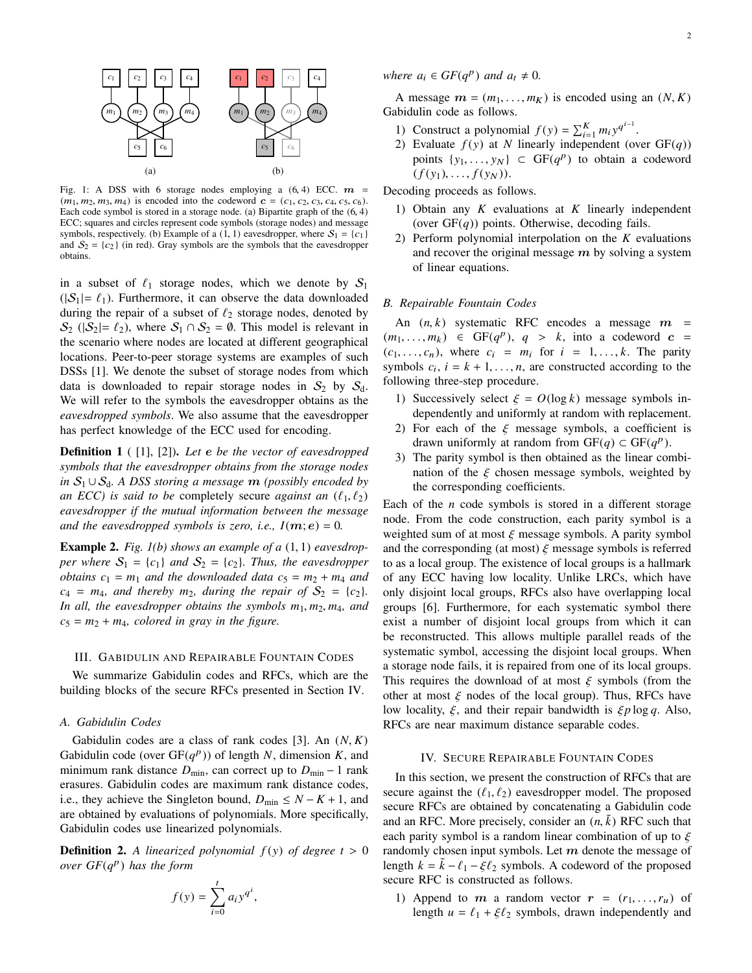

Fig. 1: A DSS with 6 storage nodes employing a  $(6, 4)$  ECC.  $m =$  $(m_1, m_2, m_3, m_4)$  is encoded into the codeword  $c = (c_1, c_2, c_3, c_4, c_5, c_6)$ . Each code symbol is stored in a storage node. (a) Bipartite graph of the (6, <sup>4</sup>) ECC; squares and circles represent code symbols (storage nodes) and message symbols, respectively. (b) Example of a (1, 1) eavesdropper, where  $S_1 = \{c_1\}$ and  $S_2 = \{c_2\}$  (in red). Gray symbols are the symbols that the eavesdropper obtains.

in a subset of  $\ell_1$  storage nodes, which we denote by  $S_1$  $(|S_1| = \ell_1)$ . Furthermore, it can observe the data downloaded during the repair of a subset of  $\ell_2$  storage nodes, denoted by  $S_2$  ( $|S_2| = \ell_2$ ), where  $S_1 \cap S_2 = \emptyset$ . This model is relevant in the scenario where nodes are located at different geographical locations. Peer-to-peer storage systems are examples of such DSSs [1]. We denote the subset of storage nodes from which data is downloaded to repair storage nodes in  $S_2$  by  $S_d$ . We will refer to the symbols the eavesdropper obtains as the *eavesdropped symbols*. We also assume that the eavesdropper has perfect knowledge of the ECC used for encoding.

Definition 1 ( [1], [2]). *Let* e *be the vector of eavesdropped symbols that the eavesdropper obtains from the storage nodes in* S<sup>1</sup> ∪ Sd*. A DSS storing a message* m *(possibly encoded by an ECC) is said to be* completely secure *against an*  $(\ell_1, \ell_2)$ *eavesdropper if the mutual information between the message and the eavesdropped symbols is zero, i.e.,*  $I(m; e) = 0$ .

Example 2. *Fig. 1(b) shows an example of a* (1, 1) *eavesdropper where*  $S_1 = \{c_1\}$  *and*  $S_2 = \{c_2\}$ *. Thus, the eavesdropper obtains*  $c_1 = m_1$  *and the downloaded data*  $c_5 = m_2 + m_4$  *and*  $c_4 = m_4$ , and thereby  $m_2$ , during the repair of  $S_2 = \{c_2\}$ . *In all, the eavesdropper obtains the symbols m*1, *m*2, *m*4*, and*  $c_5 = m_2 + m_4$ , *colored in gray in the figure.* 

#### III. GABIDULIN AND REPAIRABLE FOUNTAIN CODES

We summarize Gabidulin codes and RFCs, which are the building blocks of the secure RFCs presented in Section IV.

## *A. Gabidulin Codes*

Gabidulin codes are a class of rank codes [3]. An (*N*, *K*) Gabidulin code (over  $GF(q^p)$ ) of length *N*, dimension *K*, and minimum rank distance  $D_{\text{min}}$ , can correct up to  $D_{\text{min}} - 1$  rank erasures. Gabidulin codes are maximum rank distance codes, i.e., they achieve the Singleton bound,  $D_{\text{min}} \leq N - K + 1$ , and are obtained by evaluations of polynomials. More specifically, Gabidulin codes use linearized polynomials.

**Definition 2.** A linearized polynomial  $f(y)$  of degree  $t > 0$ *over GF*(*q* p ) *has the form*

$$
f(y) = \sum_{i=0}^{t} a_i y^{q^i},
$$

*where*  $a_i \in GF(q^p)$  *and*  $a_t \neq 0$ *.* 

A message  $m = (m_1, \ldots, m_K)$  is encoded using an  $(N, K)$ Gabidulin code as follows.

- 1) Construct a polynomial  $f(y) = \sum_{i=1}^{K} m_i y^{q^{i-1}}$ .
- 2) Evaluate  $f(y)$  at *N* linearly independent (over  $GF(q)$ ) points  $\{y_1, \ldots, y_N\} \subset \text{GF}(q^p)$  to obtain a codeword  $(f(y_1),...,f(y_N)).$

Decoding proceeds as follows.

- 1) Obtain any *K* evaluations at *K* linearly independent (over  $GF(q)$ ) points. Otherwise, decoding fails.
- 2) Perform polynomial interpolation on the *K* evaluations and recover the original message  $m$  by solving a system of linear equations.

## *B. Repairable Fountain Codes*

An  $(n, k)$  systematic RFC encodes a message  $m =$  $(m_1, \ldots, m_k) \in GF(q^p), q > k$ , into a codeword  $c =$  $(c_1, \ldots, c_n)$ , where  $c_i = m_i$  for  $i = 1, \ldots, k$ . The parity symbols  $c_i$ ,  $i = k + 1, \ldots, n$ , are constructed according to the following three-step procedure.

- 1) Successively select  $\xi = O(\log k)$  message symbols independently and uniformly at random with replacement.
- 2) For each of the  $\xi$  message symbols, a coefficient is drawn uniformly at random from  $GF(q) \subset GF(q^p)$ .
- 3) The parity symbol is then obtained as the linear combination of the  $\xi$  chosen message symbols, weighted by the corresponding coefficients.

Each of the *n* code symbols is stored in a different storage node. From the code construction, each parity symbol is a weighted sum of at most  $\xi$  message symbols. A parity symbol and the corresponding (at most)  $\xi$  message symbols is referred to as a local group. The existence of local groups is a hallmark of any ECC having low locality. Unlike LRCs, which have only disjoint local groups, RFCs also have overlapping local groups [6]. Furthermore, for each systematic symbol there exist a number of disjoint local groups from which it can be reconstructed. This allows multiple parallel reads of the systematic symbol, accessing the disjoint local groups. When a storage node fails, it is repaired from one of its local groups. This requires the download of at most  $\xi$  symbols (from the other at most  $\xi$  nodes of the local group). Thus, RFCs have low locality, ξ, and their repair bandwidth is ξ*p* log *q*. Also, RFCs are near maximum distance separable codes.

#### IV. SECURE REPAIRABLE FOUNTAIN CODES

In this section, we present the construction of RFCs that are secure against the  $(\ell_1, \ell_2)$  eavesdropper model. The proposed secure RFCs are obtained by concatenating a Gabidulin code and an RFC. More precisely, consider an  $(n, \tilde{k})$  RFC such that each parity symbol is a random linear combination of up to  $\xi$ randomly chosen input symbols. Let  $m$  denote the message of length  $k = \tilde{k} - \ell_1 - \xi \ell_2$  symbols. A codeword of the proposed secure RFC is constructed as follows.

1) Append to  $m$  a random vector  $r = (r_1, \ldots, r_u)$  of length  $u = \ell_1 + \xi \ell_2$  symbols, drawn independently and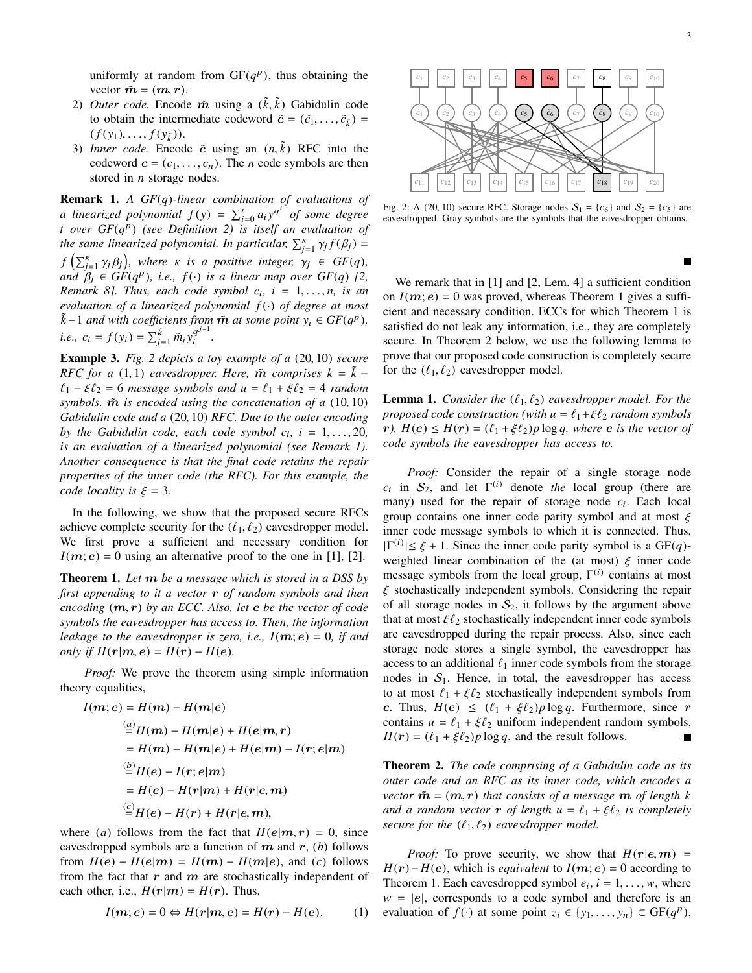uniformly at random from  $GF(q^p)$ , thus obtaining the vector  $\tilde{m} = (m, r)$ .

- 2) *Outer code.* Encode  $\tilde{m}$  using a  $(\tilde{k}, \tilde{k})$  Gabidulin code to obtain the intermediate codeword  $\tilde{c} = (\tilde{c}_1, \dots, \tilde{c}_{\tilde{k}})$  $(f(y_1),...,f(y_{\tilde{k}})).$
- 3) *Inner code*. Encode  $\tilde{c}$  using an  $(n, \tilde{k})$  RFC into the codeword  $\mathbf{c} = (c_1, \ldots, c_n)$ . The *n* code symbols are then stored in *n* storage nodes.

Remark 1. *A GF*(*q*)*-linear combination of evaluations of a* linearized polynomial  $f(y) = \sum_{i=0}^{t} a_i y^{q^i}$  of some degree *t over GF*(*q* p ) *(see Definition 2) is itself an evaluation of the same linearized polynomial. In particular,*  $\sum_{j=1}^{k} \gamma_j f(\beta_j) =$  $f\left(\sum_{j=1}^{\kappa} \gamma_j \beta_j\right)$ , where  $\kappa$  *is a positive integer,*  $\gamma_j \in GF(q)$ ,  $\alpha$   $\beta$ <sup>*j*</sup>  $\in$  *GF*(*q*<sup>*p*</sup>), *i.e.,*  $f(\cdot)$  *is a linear map over GF*(*q*) [2, *Remark 8]. Thus, each code symbol c*<sup>i</sup> *, i* = 1, . . ., *n, is an evaluation of a linearized polynomial f* (·) *of degree at most*  $\tilde{k}$  −1 *and with coefficients from*  $\tilde{m}$  *at some point*  $y_i$  ∈  $GF(q^p)$ *, i.e.,*  $c_i = f(y_i) = \sum_{j=1}^{k} \tilde{m}_j y_i^{q^{j-1}}$ i *.*

Example 3. *Fig. 2 depicts a toy example of a* (20, 10) *secure RFC for a* (1, 1) *eavesdropper. Here,*  $\tilde{m}$  *comprises*  $k = \tilde{k}$  −  $\ell_1 - \xi \ell_2 = 6$  *message symbols and*  $u = \ell_1 + \xi \ell_2 = 4$  *random symbols.*  $\tilde{m}$  *is encoded using the concatenation of a* (10,10) *Gabidulin code and a* (20, 10) *RFC. Due to the outer encoding by the Gabidulin code, each code symbol*  $c_i$ ,  $i = 1, \ldots, 20$ , *is an evaluation of a linearized polynomial (see Remark 1). Another consequence is that the final code retains the repair properties of the inner code (the RFC). For this example, the code locality is*  $\xi = 3$ *.* 

In the following, we show that the proposed secure RFCs achieve complete security for the  $(\ell_1, \ell_2)$  eavesdropper model. We first prove a sufficient and necessary condition for  $I(m; e) = 0$  using an alternative proof to the one in [1], [2].

Theorem 1. *Let* m *be a message which is stored in a DSS by first appending to it a vector* r *of random symbols and then encoding* (m, r) *by an ECC. Also, let* e *be the vector of code symbols the eavesdropper has access to. Then, the information leakage to the eavesdropper is zero, i.e.,*  $I(m; e) = 0$ , *if and only if*  $H(r|m, e) = H(r) - H(e)$ .

*Proof:* We prove the theorem using simple information theory equalities,

$$
I(m; e) = H(m) - H(m|e)
$$
  
\n
$$
\stackrel{(a)}{=} H(m) - H(m|e) + H(e|m, r)
$$
  
\n
$$
= H(m) - H(m|e) + H(e|m) - I(r; e|m)
$$
  
\n
$$
\stackrel{(b)}{=} H(e) - I(r; e|m)
$$
  
\n
$$
= H(e) - H(r|m) + H(r|e, m)
$$
  
\n
$$
\stackrel{(c)}{=} H(e) - H(r) + H(r|e, m),
$$

where (*a*) follows from the fact that  $H(e|m, r) = 0$ , since eavesdropped symbols are a function of  $m$  and  $r$ , (*b*) follows from  $H(e) - H(e|m) = H(m) - H(m|e)$ , and (*c*) follows from the fact that  $r$  and  $m$  are stochastically independent of each other, i.e.,  $H(r|m) = H(r)$ . Thus,

$$
I(m; e) = 0 \Leftrightarrow H(r|m, e) = H(r) - H(e). \tag{1}
$$



Fig. 2: A (20, 10) secure RFC. Storage nodes  $S_1 = \{c_6\}$  and  $S_2 = \{c_5\}$  are eavesdropped. Gray symbols are the symbols that the eavesdropper obtains.

We remark that in [1] and [2, Lem. 4] a sufficient condition on  $I(m; e) = 0$  was proved, whereas Theorem 1 gives a sufficient and necessary condition. ECCs for which Theorem 1 is satisfied do not leak any information, i.e., they are completely secure. In Theorem 2 below, we use the following lemma to prove that our proposed code construction is completely secure for the  $(\ell_1, \ell_2)$  eavesdropper model.

**Lemma 1.** *Consider the*  $(\ell_1, \ell_2)$  *eavesdropper model. For the proposed code construction (with*  $u = \ell_1 + \xi \ell_2$  *random symbols*  $r$ *),*  $H(e) \leq H(r) = (\ell_1 + \xi \ell_2)p \log q$ , where **e** *is the vector of code symbols the eavesdropper has access to.*

*Proof:* Consider the repair of a single storage node  $c_i$  in  $S_2$ , and let  $\Gamma^{(i)}$  denote *the* local group (there are many) used for the repair of storage node  $c_i$ . Each local group contains one inner code parity symbol and at most  $\xi$ inner code message symbols to which it is connected. Thus,  $|\Gamma^{(i)}| \leq \xi + 1$ . Since the inner code parity symbol is a GF(q)weighted linear combination of the (at most)  $\xi$  inner code message symbols from the local group,  $\Gamma^{(i)}$  contains at most  $\xi$  stochastically independent symbols. Considering the repair of all storage nodes in  $S_2$ , it follows by the argument above that at most  $\xi\ell_2$  stochastically independent inner code symbols are eavesdropped during the repair process. Also, since each storage node stores a single symbol, the eavesdropper has access to an additional  $\ell_1$  inner code symbols from the storage nodes in  $S_1$ . Hence, in total, the eavesdropper has access to at most  $\ell_1 + \xi \ell_2$  stochastically independent symbols from *c*. Thus,  $H(e) \leq (\ell_1 + \xi \ell_2)p \log q$ . Furthermore, since r contains  $u = \ell_1 + \xi \ell_2$  uniform independent random symbols,  $H(r) = (\ell_1 + \xi \ell_2)p \log q$ , and the result follows.

Theorem 2. *The code comprising of a Gabidulin code as its outer code and an RFC as its inner code, which encodes a vector*  $\tilde{m} = (m, r)$  *that consists of a message* m *of length k and a random vector* **r** *of length*  $u = \ell_1 + \xi \ell_2$  *is completely secure for the*  $(\ell_1, \ell_2)$  *eavesdropper model.* 

*Proof:* To prove security, we show that  $H(r|e, m)$  =  $H(r) - H(e)$ , which is *equivalent* to  $I(m; e) = 0$  according to Theorem 1. Each eavesdropped symbol  $e_i$ ,  $i = 1, \ldots, w$ , where  $w = |e|$ , corresponds to a code symbol and therefore is an evaluation of *f*(·) at some point  $z_i \in \{y_1, \ldots, y_n\} \subset GF(q^p)$ ,